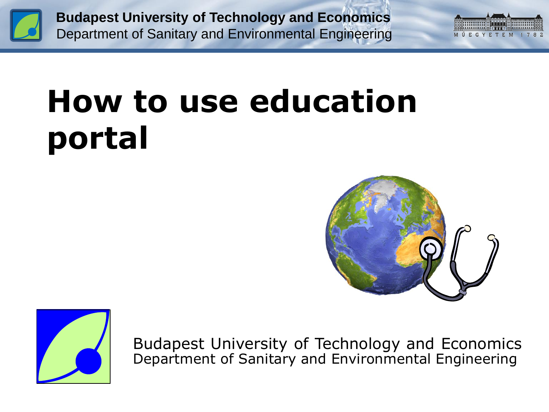



# **How to use education portal**





Budapest University of Technology and Economics Department of Sanitary and Environmental Engineering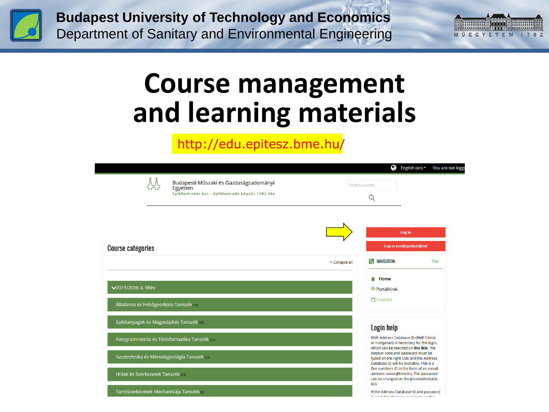



# **Course management and learning materials**

#### http://edu.epitesz.bme.hu/

|                                                                                                     |              | Ø                                                                                                                          | English (en) *                                                                                                             | You are not logg |
|-----------------------------------------------------------------------------------------------------|--------------|----------------------------------------------------------------------------------------------------------------------------|----------------------------------------------------------------------------------------------------------------------------|------------------|
| Budapesti Műszaki és Gazdaságtudományi<br>Egyetem<br>Építőmérnöki Kar - építőmérnök képzés 1782 óta |              | Search courses<br>Q                                                                                                        |                                                                                                                            |                  |
|                                                                                                     |              |                                                                                                                            | Log in                                                                                                                     |                  |
| <b>Course categories</b>                                                                            |              |                                                                                                                            | Log in vendégoktatóként                                                                                                    |                  |
|                                                                                                     | Collapse all | 믾<br>NAVIGATION                                                                                                            |                                                                                                                            | 日日               |
| <b>√2015/2016 II. félév</b><br>Általános és Felsőgeodézia Tanszék (19)                              |              | Home<br><b>Portálhírek</b><br><b>上 Courses</b>                                                                             |                                                                                                                            |                  |
| Építőanyagok és Magasépítés Tanszék (33)                                                            |              | <b>Login help</b>                                                                                                          |                                                                                                                            |                  |
| Fotogrammetria és Térinformatika Tanszék (23)                                                       |              |                                                                                                                            | BME Address Database ID (BME Címtár<br>in Hungarian) is necessary for the login,<br>which can be reached on this link. The |                  |
| Geotechnika és Mérnökgeológia Tanszék (23)                                                          |              | Neptun code and password must be<br>typed on the right side and the Address<br>Database ID will be available. This is a    |                                                                                                                            |                  |
| Hidak és Szerkezetek Tanszék (23)                                                                   | link.        | five numbers ID in the form of an e-mail<br>address: xxxxx@bme.hu. The password<br>can be changed on the Jelszóváltoztatás |                                                                                                                            |                  |
| Tartószerkezetek Mechanikája Tanszék (9)                                                            |              |                                                                                                                            | If the Address Database ID and password<br>te sustiskla. Hoos ook een laatte an tha                                        |                  |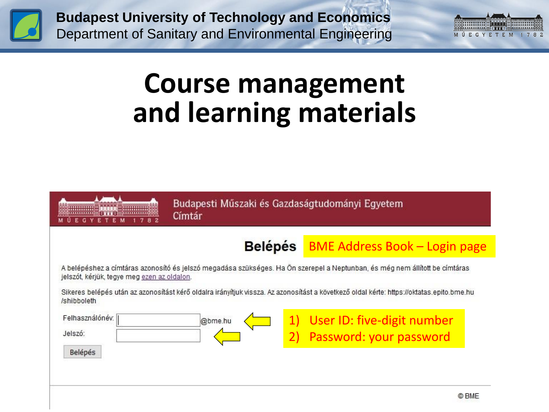



## **Course management and learning materials**



Budapesti Műszaki és Gazdaságtudományi Egyetem Címtár

#### BME Address Book – Login page **Belépés**

A belépéshez a címtáras azonosító és jelszó megadása szükséges. Ha Ön szerepel a Neptunban, és még nem állított be címtáras jelszót, kérjük, tegye meg ezen az oldalon.

Sikeres belépés után az azonosítást kérő oldalra irányítjuk vissza. Az azonosítást a következő oldal kérte: https://oktatas.epito.bme.hu /shibboleth

| Felhasználónév. | @bme.hu | 1) User ID: five-digit number |
|-----------------|---------|-------------------------------|
| Jelszó:         |         | 2) Password: your password    |
| Belépés         |         |                               |
|                 |         |                               |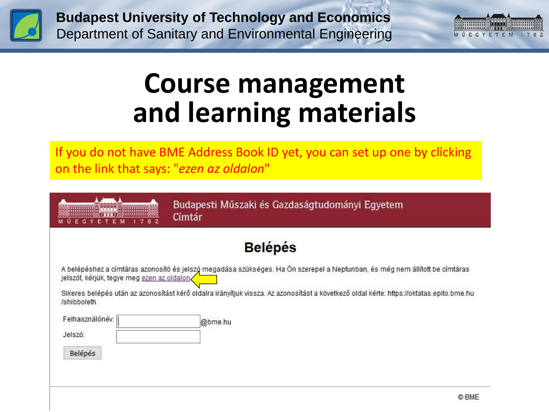



## **Course management and learning materials**

If you do not have BME Address Book ID yet, you can set up one by clicking on the link that says: "*ezen az oldalon*"

| Budapesti Műszaki és Gazdaságtudományi Egyeten |  |  |  |
|------------------------------------------------|--|--|--|
| Címtár                                         |  |  |  |

#### **Belépés**

A belépéshez a címtáras azonosító és jelszó megadása szükséges. Ha Ön szerepel a Neptunban, és még nem állított be címtáras jelszót, kérjük, tegye meg ezen az oldalon

Sikeres belépés után az azonosítást kérő oldalra irányítjuk vissza. Az azonosítást a következő oldal kérte: https://oktatas.epito.bme.hu /shibboleth

| Felhasználónév. | @bme.hu |
|-----------------|---------|
| Jelszó:         |         |
|                 |         |

Belépés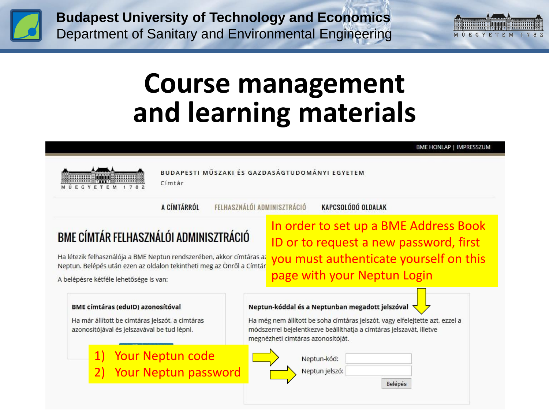



# **Course management and learning materials**

BME HONLAP | IMPRESSZUM



BUDAPESTI MŰSZAKI ÉS GAZDASÁGTUDOMÁNYI EGYETEM

A CÍMTÁRRÓL

Címtár

FELHASZNÁLÓI ADMINISZTRÁCIÓ

KAPCSOLÓDÓ OLDALAK

#### BME CÍMTÁR FELHASZNÁLÓI ADMINISZTRÁCIÓ

Ha létezik felhasználója a BME Neptun rendszerében, akkor címtáras a: Neptun. Belépés után ezen az oldalon tekintheti meg az Önről a Címtár

A belépésre kétféle lehetősége is van:

In order to set up a BME Address Book ID or to request a new password, first you must authenticate yourself on this page with your Neptun Login

Neptun-kóddal és a Neptunban megadott jelszóval **BME címtáras (edulD) azonosítóval** Ha már állított be címtáras jelszót, a címtáras Ha még nem állított be soha címtáras jelszót, vagy elfelejtette azt, ezzel a azonosítójával és jelszavával be tud lépni. módszerrel bejelentkezve beállíthatja a címtáras jelszavát, illetve megnézheti címtáras azonosítóját. Your Neptun code Neptun-kód: Your Neptun password Neptun jelszó: Belépés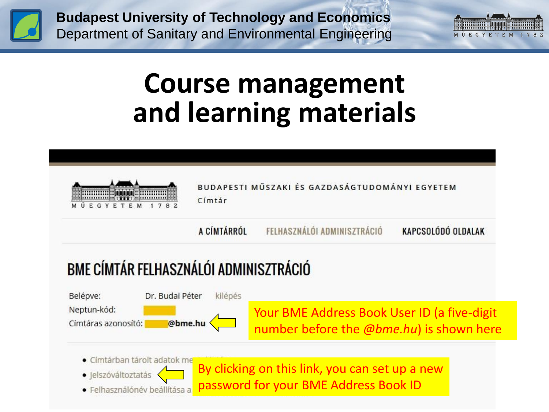



## **Course management and learning materials**



BUDAPESTI MŰSZAKI ÉS GAZDASÁGTUDOMÁNYI EGYETEM Címtár

FELHASZNÁLÓI ADMINISZTRÁCIÓ A CÍMTÁRRÓL

KAPCSOLÓDÓ OLDALAK

### BME CÍMTÁR FELHASZNÁLÓI ADMINISZTRÁCIÓ

Belépve: Dr. Budai Péter kilépés Neptun-kód: Your BME Address Book User ID (a five-digit @bme.hu Címtáras azonosító: number before the *@bme.hu*) is shown here

- · Címtárban tárolt adatok me
- · Jelszóváltoztatás
- · Felhasználónév beállítása a

By clicking on this link, you can set up a new password for your BME Address Book ID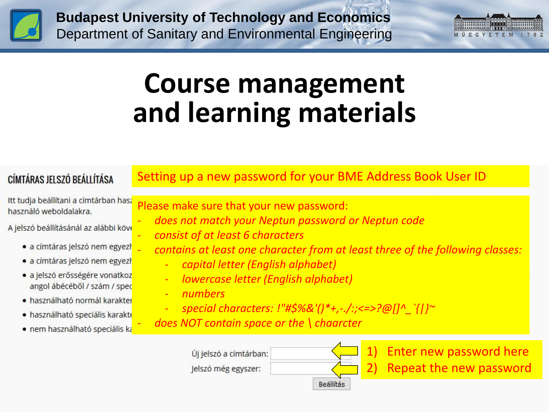



# **Course management and learning materials**

#### CÍMTÁRAS JELSZÓ BEÁLLÍTÁSA

#### Setting up a new password for your BME Address Book User ID

Itt tudja beállítani a címtárban hasz használó weboldalakra.

A jelszó beállításánál az alábbi köv

- · a címtáras jelszó nem egyezh
- · a címtáras jelszó nem egyezh
- · a jelszó erősségére vonatkoz angol ábécéből / szám / spec
- · használható normál karakter
- · használható speciális karakte
- · nem használható speciális ka

Please make sure that your new password:

- *does not match your Neptun password or Neptun code*
- *consist of at least 6 characters*
- *contains at least one character from at least three of the following classes:*
	- *capital letter (English alphabet)*
	- *lowercase letter (English alphabet)*
	- *numbers*
	- *special characters: !"#\$%&'()\*+,-./:;<=>?@[]^\_`{|}~*
- *does NOT contain space or the \ chaarcter*

| Ji jelszó a címtárban: |           |
|------------------------|-----------|
| elszó még egyszer:     |           |
|                        | Reallitás |

Enter new password here Repeat the new password